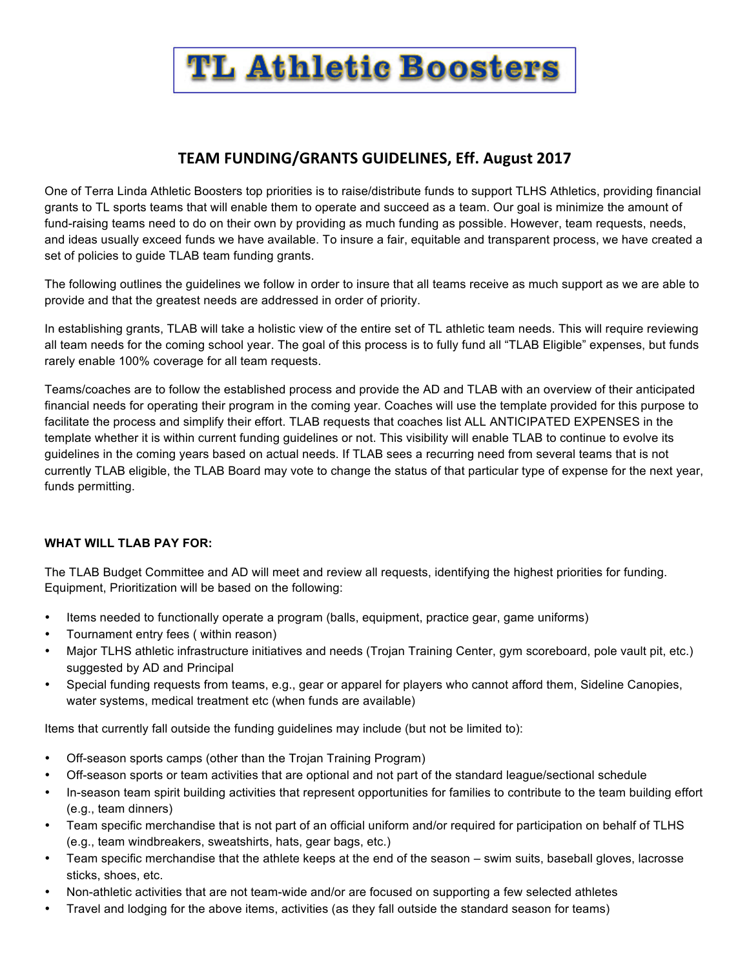

## **TEAM FUNDING/GRANTS GUIDELINES, Eff. August 2017**

One of Terra Linda Athletic Boosters top priorities is to raise/distribute funds to support TLHS Athletics, providing financial grants to TL sports teams that will enable them to operate and succeed as a team. Our goal is minimize the amount of fund-raising teams need to do on their own by providing as much funding as possible. However, team requests, needs, and ideas usually exceed funds we have available. To insure a fair, equitable and transparent process, we have created a set of policies to guide TLAB team funding grants.

The following outlines the guidelines we follow in order to insure that all teams receive as much support as we are able to provide and that the greatest needs are addressed in order of priority.

In establishing grants, TLAB will take a holistic view of the entire set of TL athletic team needs. This will require reviewing all team needs for the coming school year. The goal of this process is to fully fund all "TLAB Eligible" expenses, but funds rarely enable 100% coverage for all team requests.

Teams/coaches are to follow the established process and provide the AD and TLAB with an overview of their anticipated financial needs for operating their program in the coming year. Coaches will use the template provided for this purpose to facilitate the process and simplify their effort. TLAB requests that coaches list ALL ANTICIPATED EXPENSES in the template whether it is within current funding guidelines or not. This visibility will enable TLAB to continue to evolve its guidelines in the coming years based on actual needs. If TLAB sees a recurring need from several teams that is not currently TLAB eligible, the TLAB Board may vote to change the status of that particular type of expense for the next year, funds permitting.

## **WHAT WILL TLAB PAY FOR:**

The TLAB Budget Committee and AD will meet and review all requests, identifying the highest priorities for funding. Equipment, Prioritization will be based on the following:

- Items needed to functionally operate a program (balls, equipment, practice gear, game uniforms)
- Tournament entry fees ( within reason)
- Major TLHS athletic infrastructure initiatives and needs (Trojan Training Center, gym scoreboard, pole vault pit, etc.) suggested by AD and Principal
- Special funding requests from teams, e.g., gear or apparel for players who cannot afford them, Sideline Canopies, water systems, medical treatment etc (when funds are available)

Items that currently fall outside the funding guidelines may include (but not be limited to):

- Off-season sports camps (other than the Trojan Training Program)
- Off-season sports or team activities that are optional and not part of the standard league/sectional schedule
- In-season team spirit building activities that represent opportunities for families to contribute to the team building effort (e.g., team dinners)
- Team specific merchandise that is not part of an official uniform and/or required for participation on behalf of TLHS (e.g., team windbreakers, sweatshirts, hats, gear bags, etc.)
- Team specific merchandise that the athlete keeps at the end of the season swim suits, baseball gloves, lacrosse sticks, shoes, etc.
- Non-athletic activities that are not team-wide and/or are focused on supporting a few selected athletes
- Travel and lodging for the above items, activities (as they fall outside the standard season for teams)